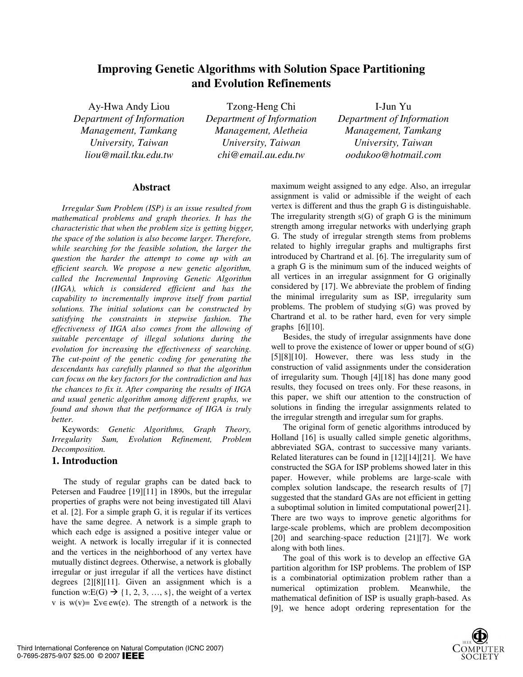# **Improving Genetic Algorithms with Solution Space Partitioning and Evolution Refinements**

*Department of Information Management, Tamkang University, Taiwan* 

Ay-Hwa Andy Liou Tzong-Heng Chi I-Jun Yu *Department of Information Management, Aletheia University, Taiwan liou@mail.tku.edu.tw chi@email.au.edu.tw oodukoo@hotmail.com* 

*Department of Information Management, Tamkang University, Taiwan* 

# **Abstract**

*Irregular Sum Problem (ISP) is an issue resulted from mathematical problems and graph theories. It has the characteristic that when the problem size is getting bigger, the space of the solution is also become larger. Therefore, while searching for the feasible solution, the larger the question the harder the attempt to come up with an efficient search. We propose a new genetic algorithm, called the Incremental Improving Genetic Algorithm (IIGA), which is considered efficient and has the capability to incrementally improve itself from partial solutions. The initial solutions can be constructed by satisfying the constraints in stepwise fashion. The effectiveness of IIGA also comes from the allowing of suitable percentage of illegal solutions during the evolution for increasing the effectiveness of searching. The cut-point of the genetic coding for generating the descendants has carefully planned so that the algorithm can focus on the key factors for the contradiction and has the chances to fix it. After comparing the results of IIGA and usual genetic algorithm among different graphs, we found and shown that the performance of IIGA is truly better.* 

Keywords: *Genetic Algorithms, Graph Theory, Irregularity Sum, Evolution Refinement, Problem Decomposition.* 

# **1. Introduction**

The study of regular graphs can be dated back to Petersen and Faudree [19][11] in 1890s, but the irregular properties of graphs were not being investigated till Alavi et al. [2]. For a simple graph G, it is regular if its vertices have the same degree. A network is a simple graph to which each edge is assigned a positive integer value or weight. A network is locally irregular if it is connected and the vertices in the neighborhood of any vertex have mutually distinct degrees. Otherwise, a network is globally irregular or just irregular if all the vertices have distinct degrees [2][8][11]. Given an assignment which is a function w:E(G)  $\rightarrow$  {1, 2, 3, ..., s}, the weight of a vertex v is w(v)=  $\Sigma v \in \text{ew}(e)$ . The strength of a network is the

maximum weight assigned to any edge. Also, an irregular assignment is valid or admissible if the weight of each vertex is different and thus the graph G is distinguishable. The irregularity strength  $s(G)$  of graph G is the minimum strength among irregular networks with underlying graph G. The study of irregular strength stems from problems related to highly irregular graphs and multigraphs first introduced by Chartrand et al. [6]. The irregularity sum of a graph G is the minimum sum of the induced weights of all vertices in an irregular assignment for G originally considered by [17]. We abbreviate the problem of finding the minimal irregularity sum as ISP, irregularity sum problems. The problem of studying s(G) was proved by Chartrand et al. to be rather hard, even for very simple graphs  $[6][10]$ .

Besides, the study of irregular assignments have done well to prove the existence of lower or upper bound of  $s(G)$ [5][8][10]. However, there was less study in the construction of valid assignments under the consideration of irregularity sum. Though [4][18] has done many good results, they focused on trees only. For these reasons, in this paper, we shift our attention to the construction of solutions in finding the irregular assignments related to the irregular strength and irregular sum for graphs.

The original form of genetic algorithms introduced by Holland [16] is usually called simple genetic algorithms, abbreviated SGA, contrast to successive many variants. Related literatures can be found in [12][14][21]. We have constructed the SGA for ISP problems showed later in this paper. However, while problems are large-scale with complex solution landscape, the research results of [7] suggested that the standard GAs are not efficient in getting a suboptimal solution in limited computational power[21]. There are two ways to improve genetic algorithms for large-scale problems, which are problem decomposition [20] and searching-space reduction [21][7]. We work along with both lines.

The goal of this work is to develop an effective GA partition algorithm for ISP problems. The problem of ISP is a combinatorial optimization problem rather than a numerical optimization problem. Meanwhile, the mathematical definition of ISP is usually graph-based. As [9], we hence adopt ordering representation for the

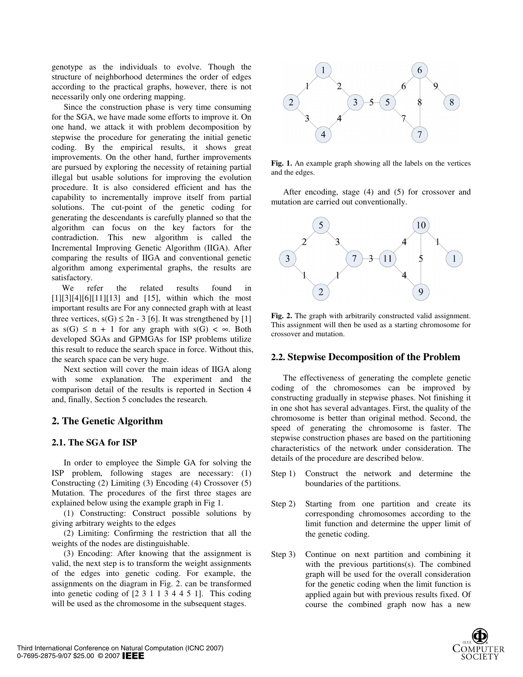genotype as the individuals to evolve. Though the structure of neighborhood determines the order of edges according to the practical graphs, however, there is not necessarily only one ordering mapping.

Since the construction phase is very time consuming for the SGA, we have made some efforts to improve it. On one hand, we attack it with problem decomposition by stepwise the procedure for generating the initial genetic coding. By the empirical results, it shows great improvements. On the other hand, further improvements are pursued by exploring the necessity of retaining partial illegal but usable solutions for improving the evolution procedure. It is also considered efficient and has the capability to incrementally improve itself from partial solutions. The cut-point of the genetic coding for generating the descendants is carefully planned so that the algorithm can focus on the key factors for the contradiction. This new algorithm is called the Incremental Improving Genetic Algorithm (IIGA). After comparing the results of IIGA and conventional genetic algorithm among experimental graphs, the results are satisfactory.

We refer the related results found in [1][3][4][6][11][13] and [15], within which the most important results are For any connected graph with at least three vertices,  $s(G) \le 2n - 3$  [6]. It was strengthened by [1] as  $s(G) \leq n + 1$  for any graph with  $s(G) < \infty$ . Both developed SGAs and GPMGAs for ISP problems utilize this result to reduce the search space in force. Without this, the search space can be very huge.

Next section will cover the main ideas of IIGA along with some explanation. The experiment and the comparison detail of the results is reported in Section 4 and, finally, Section 5 concludes the research.

### **2. The Genetic Algorithm**

#### **2.1. The SGA for ISP**

In order to employee the Simple GA for solving the ISP problem, following stages are necessary: (1) Constructing (2) Limiting (3) Encoding (4) Crossover (5) Mutation. The procedures of the first three stages are explained below using the example graph in Fig 1.

(1) Constructing: Construct possible solutions by giving arbitrary weights to the edges

(2) Limiting: Confirming the restriction that all the weights of the nodes are distinguishable.

(3) Encoding: After knowing that the assignment is valid, the next step is to transform the weight assignments of the edges into genetic coding. For example, the assignments on the diagram in Fig. 2. can be transformed into genetic coding of [2 3 1 1 3 4 4 5 1]. This coding will be used as the chromosome in the subsequent stages.



**Fig. 1.** An example graph showing all the labels on the vertices and the edges.

After encoding, stage (4) and (5) for crossover and mutation are carried out conventionally.



**Fig. 2.** The graph with arbitrarily constructed valid assignment. This assignment will then be used as a starting chromosome for crossover and mutation.

### **2.2. Stepwise Decomposition of the Problem**

The effectiveness of generating the complete genetic coding of the chromosomes can be improved by constructing gradually in stepwise phases. Not finishing it in one shot has several advantages. First, the quality of the chromosome is better than original method. Second, the speed of generating the chromosome is faster. The stepwise construction phases are based on the partitioning characteristics of the network under consideration. The details of the procedure are described below.

- Step 1) Construct the network and determine the boundaries of the partitions.
- Step 2) Starting from one partition and create its corresponding chromosomes according to the limit function and determine the upper limit of the genetic coding.
- Step 3) Continue on next partition and combining it with the previous partitions(s). The combined graph will be used for the overall consideration for the genetic coding when the limit function is applied again but with previous results fixed. Of course the combined graph now has a new

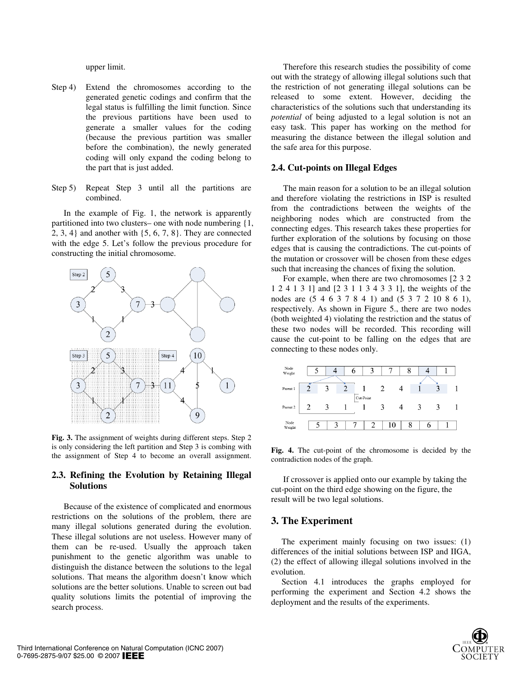upper limit.

- Step 4) Extend the chromosomes according to the generated genetic codings and confirm that the legal status is fulfilling the limit function. Since the previous partitions have been used to generate a smaller values for the coding (because the previous partition was smaller before the combination), the newly generated coding will only expand the coding belong to the part that is just added.
- Step 5) Repeat Step 3 until all the partitions are combined.

In the example of Fig. 1, the network is apparently partitioned into two clusters– one with node numbering {1, 2, 3, 4} and another with {5, 6, 7, 8}. They are connected with the edge 5. Let's follow the previous procedure for constructing the initial chromosome.



**Fig. 3.** The assignment of weights during different steps. Step 2 is only considering the left partition and Step 3 is combing with the assignment of Step 4 to become an overall assignment.

### **2.3. Refining the Evolution by Retaining Illegal Solutions**

Because of the existence of complicated and enormous restrictions on the solutions of the problem, there are many illegal solutions generated during the evolution. These illegal solutions are not useless. However many of them can be re-used. Usually the approach taken punishment to the genetic algorithm was unable to distinguish the distance between the solutions to the legal solutions. That means the algorithm doesn't know which solutions are the better solutions. Unable to screen out bad quality solutions limits the potential of improving the search process.

Therefore this research studies the possibility of come out with the strategy of allowing illegal solutions such that the restriction of not generating illegal solutions can be released to some extent. However, deciding the characteristics of the solutions such that understanding its *potential* of being adjusted to a legal solution is not an easy task. This paper has working on the method for measuring the distance between the illegal solution and the safe area for this purpose.

#### **2.4. Cut-points on Illegal Edges**

The main reason for a solution to be an illegal solution and therefore violating the restrictions in ISP is resulted from the contradictions between the weights of the neighboring nodes which are constructed from the connecting edges. This research takes these properties for further exploration of the solutions by focusing on those edges that is causing the contradictions. The cut-points of the mutation or crossover will be chosen from these edges such that increasing the chances of fixing the solution.

For example, when there are two chromosomes [2 3 2 1 2 4 1 3 1] and [2 3 1 1 3 4 3 3 1], the weights of the nodes are (5 4 6 3 7 8 4 1) and (5 3 7 2 10 8 6 1), respectively. As shown in Figure 5., there are two nodes (both weighted 4) violating the restriction and the status of these two nodes will be recorded. This recording will cause the cut-point to be falling on the edges that are connecting to these nodes only.



**Fig. 4.** The cut-point of the chromosome is decided by the contradiction nodes of the graph.

If crossover is applied onto our example by taking the cut-point on the third edge showing on the figure, the result will be two legal solutions.

# **3. The Experiment**

The experiment mainly focusing on two issues: (1) differences of the initial solutions between ISP and IIGA, (2) the effect of allowing illegal solutions involved in the evolution.

Section 4.1 introduces the graphs employed for performing the experiment and Section 4.2 shows the deployment and the results of the experiments.

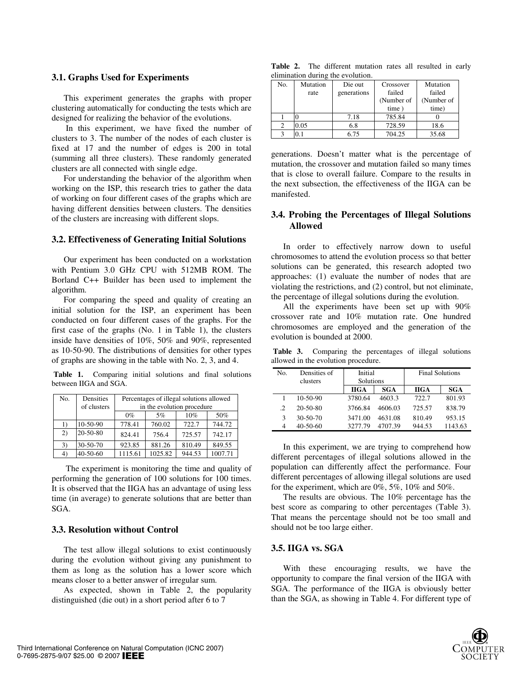### **3.1. Graphs Used for Experiments**

This experiment generates the graphs with proper clustering automatically for conducting the tests which are designed for realizing the behavior of the evolutions.

 In this experiment, we have fixed the number of clusters to 3. The number of the nodes of each cluster is fixed at 17 and the number of edges is 200 in total (summing all three clusters). These randomly generated clusters are all connected with single edge.

For understanding the behavior of the algorithm when working on the ISP, this research tries to gather the data of working on four different cases of the graphs which are having different densities between clusters. The densities of the clusters are increasing with different slops.

### **3.2. Effectiveness of Generating Initial Solutions**

Our experiment has been conducted on a workstation with Pentium 3.0 GHz CPU with 512MB ROM. The Borland C++ Builder has been used to implement the algorithm.

For comparing the speed and quality of creating an initial solution for the ISP, an experiment has been conducted on four different cases of the graphs. For the first case of the graphs (No. 1 in Table 1), the clusters inside have densities of 10%, 50% and 90%, represented as 10-50-90. The distributions of densities for other types of graphs are showing in the table with No. 2, 3, and 4.

 **Table 1.** Comparing initial solutions and final solutions between IIGA and SGA.

| No. | Densities<br>of clusters | Percentages of illegal solutions allowed<br>in the evolution procedure |         |        |         |
|-----|--------------------------|------------------------------------------------------------------------|---------|--------|---------|
|     |                          | $0\%$                                                                  | 5%      | 10%    | 50%     |
| 1)  | $10-50-90$               | 778.41                                                                 | 760.02  | 722.7  | 744.72  |
| 2)  | 20-50-80                 | 824.41                                                                 | 756.4   | 725.57 | 742.17  |
| 3)  | 30-50-70                 | 923.85                                                                 | 881.26  | 810.49 | 849.55  |
| 41  | $40 - 50 - 60$           | 1115.61                                                                | 1025.82 | 944.53 | 1007.71 |

 The experiment is monitoring the time and quality of performing the generation of 100 solutions for 100 times. It is observed that the IIGA has an advantage of using less time (in average) to generate solutions that are better than SGA.

#### **3.3. Resolution without Control**

The test allow illegal solutions to exist continuously during the evolution without giving any punishment to them as long as the solution has a lower score which means closer to a better answer of irregular sum.

As expected, shown in Table 2, the popularity distinguished (die out) in a short period after 6 to 7

**Table 2.** The different mutation rates all resulted in early elimination during the evolution.

| No. | Mutation | Die out     | Crossover  | Mutation   |
|-----|----------|-------------|------------|------------|
|     | rate     | generations | failed     | failed     |
|     |          |             | (Number of | (Number of |
|     |          |             | time)      | time)      |
|     |          | 7.18        | 785.84     |            |
|     | 0.05     | 6.8         | 728.59     | 18.6       |
|     |          | 6.75        | 704.25     | 35.68      |

generations. Doesn't matter what is the percentage of mutation, the crossover and mutation failed so many times that is close to overall failure. Compare to the results in the next subsection, the effectiveness of the IIGA can be manifested.

### **3.4. Probing the Percentages of Illegal Solutions Allowed**

In order to effectively narrow down to useful chromosomes to attend the evolution process so that better solutions can be generated, this research adopted two approaches: (1) evaluate the number of nodes that are violating the restrictions, and (2) control, but not eliminate, the percentage of illegal solutions during the evolution.

All the experiments have been set up with 90% crossover rate and 10% mutation rate. One hundred chromosomes are employed and the generation of the evolution is bounded at 2000.

 **Table 3.** Comparing the percentages of illegal solutions allowed in the evolution procedure.

| No.          | Densities of<br>clusters | Initial<br>Solutions |            | <b>Final Solutions</b> |            |
|--------------|--------------------------|----------------------|------------|------------------------|------------|
|              |                          | <b>IIGA</b>          | <b>SGA</b> | <b>IIGA</b>            | <b>SGA</b> |
|              | $10 - 50 - 90$           | 3780.64              | 4603.3     | 722.7                  | 801.93     |
| 2            | $20 - 50 - 80$           | 3766.84              | 4606.03    | 725.57                 | 838.79     |
| $\mathbf{R}$ | $30 - 50 - 70$           | 3471.00              | 4631.08    | 810.49                 | 953.15     |
|              | $40 - 50 - 60$           | 3277.79              | 4707.39    | 944.53                 | 1143.63    |

In this experiment, we are trying to comprehend how different percentages of illegal solutions allowed in the population can differently affect the performance. Four different percentages of allowing illegal solutions are used for the experiment, which are 0%, 5%, 10% and 50%.

The results are obvious. The 10% percentage has the best score as comparing to other percentages (Table 3). That means the percentage should not be too small and should not be too large either.

#### **3.5. IIGA vs. SGA**

With these encouraging results, we have the opportunity to compare the final version of the IIGA with SGA. The performance of the IIGA is obviously better than the SGA, as showing in Table 4. For different type of